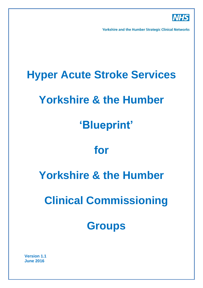

**Yorkshire and the Humber Strategic Clinical Networks** 

# **Hyper Acute Stroke Services**

## **Yorkshire & the Humber**

## **'Blueprint'**

## **for**

# **Yorkshire & the Humber**

# **Clinical Commissioning**

## **Groups**

**Version 1.1 June 2016**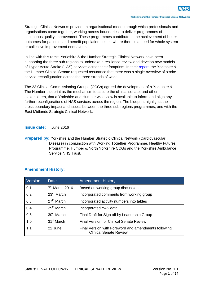Strategic Clinical Networks provide an organisational model through which professionals and organisations come together, working across boundaries, to deliver programmes of continuous quality improvement. These programmes contribute to the achievement of better outcomes for patients, and benefit population health, where there is a need for whole system or collective improvement endeavour.

In line with this remit, Yorkshire & the Humber Strategic Clinical Network have been supporting the three sub-regions to undertake a resilience review and develop new models of Hyper Acute Stroke (HAS) services across their footprints. In their [report](http://www.yhsenate.nhs.uk/media/pdfs/Senate%20Advice/YH%20Senate%20Report%20-%20Working%20Together%20-%20HASU%20-%20August%202015.pdf) the Yorkshire & the Humber Clinical Senate requested assurance that there was a single overview of stroke service reconfiguration across the three strands of work.

The 23 Clinical Commissioning Groups (CCGs) agreed the development of a Yorkshire & The Humber blueprint as the mechanism to assure the clinical senate, and other stakeholders, that a Yorkshire and Humber wide view is available to inform and align any further reconfigurations of HAS services across the region. The blueprint highlights the cross boundary impact and issues between the three sub regions programmes, and with the East Midlands Strategic Clinical Network.

#### **Issue date:** June 2016

**Prepared by:** Yorkshire and the Humber Strategic Clinical Network (Cardiovascular Disease) in conjunction with Working Together Programme, Healthy Futures Programme, Humber & North Yorkshire CCGs and the Yorkshire Ambulance Service NHS Trust.

| Version | Date                   | <b>Amendment History</b>                                                              |
|---------|------------------------|---------------------------------------------------------------------------------------|
| 0.1     | $7th$ March 2016       | Based on working group discussions                                                    |
| 0.2     | $23rd$ March           | Incorporated comments from working group                                              |
| 0.3     | 27 <sup>th</sup> March | Incorporated activity numbers into tables                                             |
| 0.4     | $29th$ March           | Incorporated YAS data                                                                 |
| 0.5     | 30 <sup>th</sup> March | Final Draft for Sign off by Leadership Group                                          |
| 1.0     | 31 <sup>st</sup> March | <b>Final Version for Clinical Senate Review</b>                                       |
| 1.1     | 22 June                | Final Version with Foreword and amendments following<br><b>Clinical Senate Review</b> |

#### **Amendment History:**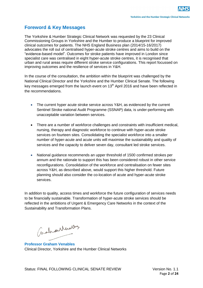## **Foreword & Key Messages**

The Yorkshire & Humber Strategic Clinical Network was requested by the 23 Clinical Commissioning Groups in Yorkshire and the Humber to produce a blueprint for improved clinical outcomes for patients. The NHS England Business plan (2014/15-16/2017) advocates the roll out of centralised hyper-acute stroke centres and aims to build on the "evidence-based model". Outcomes for stroke patients have improved in London since specialist care was centralised in eight hyper-acute stroke centres, it is recognised that urban and rural areas require different stroke service configurations. This report focussed on improving outcomes and the resilience of services in Y&H.

In the course of the consultation, the ambition within the blueprint was challenged by the National Clinical Director and the Yorkshire and the Humber Clinical Senate. The following key messages emerged from the launch event on 13<sup>th</sup> April 2016 and have been reflected in the recommendations.

- The current hyper acute stroke service across Y&H, as evidenced by the current Sentinel Stroke national Audit Programme (SSNAP) data, is under-performing with unacceptable variation between services.
- There are a number of workforce challenges and constraints with insufficient medical, nursing, therapy and diagnostic workforce to continue with hyper-acute stroke services on fourteen sites. Consolidating the specialist workforce into a smaller number of hyper-acute and acute units will maximise the sustainability and quality of services and the capacity to deliver seven day, consultant led stroke services.
- National guidance recommends an upper threshold of 1500 confirmed strokes per annum and the rationale to support this has been considered robust in other service reconfigurations. Consolidation of the workforce and centralisation on fewer sites across Y&H, as described above, would support this higher threshold. Future planning should also consider the co-location of acute and hyper-acute stroke services.

In addition to quality, access times and workforce the future configuration of services needs to be financially sustainable. Transformation of hyper-acute stroke services should be reflected in the ambitions of Urgent & Emergency Care Networks in the context of the Sustainability and Transformation Plans.

( indian Merallis

**Professor Graham Venables** Clinical Director, Yorkshire and the Humber Clinical Networks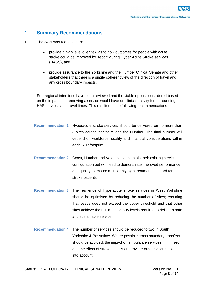## **1. Summary Recommendations**

- 1.1 The SCN was requested to:
	- provide a high level overview as to how outcomes for people with acute stroke could be improved by reconfiguring Hyper Acute Stroke services (HASS), and
	- provide assurance to the Yorkshire and the Humber Clinical Senate and other stakeholders that there is a single coherent view of the direction of travel and any cross boundary impacts.

Sub-regional intentions have been reviewed and the viable options considered based on the impact that removing a service would have on clinical activity for surrounding HAS services and travel times. This resulted in the following recommendations:

- **Recommendation 1** Hyperacute stroke services should be delivered on no more than 8 sites across Yorkshire and the Humber. The final number will depend on workforce, quality and financial considerations within each STP footprint.
- **Recommendation 2** Coast, Humber and Vale should maintain their existing service configuration but will need to demonstrate improved performance and quality to ensure a uniformly high treatment standard for stroke patients.
- **Recommendation 3** The resilience of hyperacute stroke services in West Yorkshire should be optimised by reducing the number of sites; ensuring that Leeds does not exceed the upper threshold and that other sites achieve the minimum activity levels required to deliver a safe and sustainable service.
- **Recommendation 4** The number of services should be reduced to two in South Yorkshire & Bassetlaw. Where possible cross boundary transfers should be avoided, the impact on ambulance services minimised and the effect of stroke mimics on provider organisations taken into account.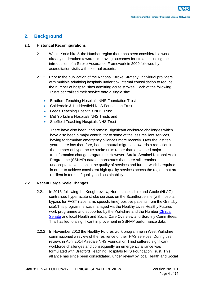## **2. Background**

#### **2.1 Historical Reconfigurations**

- 2.1.1 Within Yorkshire & the Humber region there has been considerable work already undertaken towards improving outcomes for stroke including the introduction of a Stroke Assurance Framework in 2009 followed by accreditation visits with external experts.
- 2.1.2 Prior to the publication of the National Stroke Strategy, individual providers with multiple admitting hospitals undertook internal consolidation to reduce the number of hospital sites admitting acute strokes. Each of the following Trusts centralised their service onto a single site:
	- Bradford Teaching Hospitals NHS Foundation Trust
	- Calderdale & Huddersfield NHS Foundation Trust
	- Leeds Teaching Hospitals NHS Trust
	- Mid Yorkshire Hospitals NHS Trusts and
	- Sheffield Teaching Hospitals NHS Trust

There have also been, and remain, significant workforce challenges which have also been a major contributor to some of the less resilient services, having to formulate emergency alliances more recently. Over the last ten years there has therefore, been a natural migration towards a reduction in the number of hyper acute stroke units rather than a planned major transformation change programme. However, Stroke Sentinel National Audit Programme (SSNAP) data demonstrates that there still remains unacceptable variation in the quality of services and further work is required in order to achieve consistent high quality services across the region that are resilient in terms of quality and sustainability.

#### **2.2 Recent Large Scale Changes**

- 2.2.1 In 2013, following the Keogh review, North Lincolnshire and Goole (NLAG) centralised hyper acute stroke services on the Scunthorpe site (with hospital bypass for FAST (face, arm, speech, time) positive patients from the Grimsby site).This programme was managed via the Healthy Lives Healthy Futures work programme and supported by the Yorkshire and the Humber [Clinical](http://www.yhsenate.nhs.uk/media/pdfs/Senate%20Advice/YH%20Senate%20Report%20-%20HLHF%20Hyper%20Acute%20Stroke%20Proposals%20-%20November%202014.pdf)  [Senate](http://www.yhsenate.nhs.uk/media/pdfs/Senate%20Advice/YH%20Senate%20Report%20-%20HLHF%20Hyper%20Acute%20Stroke%20Proposals%20-%20November%202014.pdf) and local Health and Social Care Overview and Scrutiny Committees. This has led to a significant improvement in SSNAP performance data.
- 2.2.2 In November 2013 the Healthy Futures work programme in West Yorkshire commissioned a review of the resilience of their HAS services. During this review, in April 2014 Airedale NHS Foundation Trust suffered significant workforce challenges and consequently an emergency alliance was formulated with Bradford Teaching Hospitals NHS Foundation Trust. This alliance has since been consolidated, under review by local Health and Social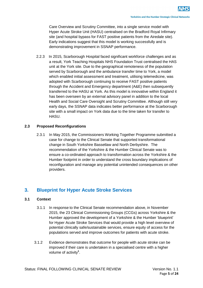Care Overview and Scrutiny Committee, into a single service model with Hyper Acute Stroke Unit (HASU) centralised on the Bradford Royal Infirmary site (and hospital bypass for FAST positive patients from the Airedale site). Early indications suggest that this model is working successfully and is demonstrating improvement in SSNAP performance.

 2.2.3 In 2015, Scarborough Hospital faced significant workforce challenges and as a result, York Teaching Hospitals NHS Foundation Trust centralised the HAS unit at the York site. Due to the geographical remoteness of the population served by Scarborough and the ambulance transfer time to York, a model which enabled initial assessment and treatment, utilising telemedicine, was adopted with Scarborough continuing to receive FAST positive patients through the Accident and Emergency department (A&E) then subsequently transferred to the HASU at York. As this model is innovative within England it has been overseen by an external advisory panel in addition to the local Health and Social Care Oversight and Scrutiny Committee. Although still very early days, the SSNAP data indicates better performance at the Scarborough site with a small impact on York data due to the time taken for transfer to **HASU.** 

#### **2.3 Proposed Reconfigurations**

2.3.1 In May 2015, the Commissioners Working Together Programme submitted a case for change to the Clinical Senate that supported transformational change in South Yorkshire Bassetlaw and North Derbyshire. The recommendation of the Yorkshire & the Humber Clinical Senate was to ensure a co-ordinated approach to transformation across the Yorkshire & the Humber footprint in order to understand the cross boundary implications of reconfiguration and manage any potential unintended consequences on other providers.

## **3. Blueprint for Hyper Acute Stroke Services**

#### **3.1 Context**

- 3.1.1 In response to the Clinical Senate recommendation above, in November 2015, the 23 Clinical Commissioning Groups (CCGs) across Yorkshire & the Humber approved the development of a Yorkshire & the Humber 'blueprint' for Hyper Acute Stroke Services that would provide a high level overview of potential clinically safe/sustainable services, ensure equity of access for the populations served and improve outcomes for patients with acute stroke.
- 3.1.2 Evidence demonstrates that outcome for people with acute stroke can be improved if their care is undertaken in a specialised centre with a higher volume of activity**<sup>1</sup>** .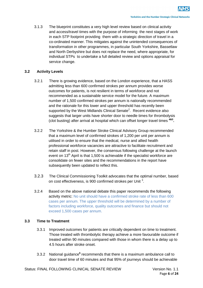3.1.3 The blueprint constitutes a very high level review based on clinical activity and access/travel times with the purpose of informing the next stages of work in each STP footprint providing them with a strategic direction of travel in a co-ordinated manner. This mitigates against the unintended consequences of transformation in other programmes, in particular South Yorkshire, Bassetlaw and North Derbyshire but does not replace the need, where appropriate, for individual STPs to undertake a full detailed review and options appraisal for service change.

#### **3.2 Activity Levels**

- 3.2.1 There is growing evidence, based on the London experience, that a HASS admitting less than 600 confirmed strokes per annum provides worse outcomes for patients, is not resilient in terms of workforce and not recommended as a sustainable service model for the future. A maximum number of 1,500 confirmed strokes per annum is nationally recommended and the rationale for this lower and upper threshold has recently been supported by the West Midlands Clinical Senate<sup>2</sup>. Recent evidence also suggests that larger units have shorter door to needle times for thrombolysis (clot busting) after arrival at hospital which can offset longer travel times **4&5 .**
- 3.2.2 The Yorkshire & the Humber Stroke Clinical Advisory Group recommended that a maximum level of confirmed strokes of 1,200 per unit per annum is utilised in order to ensure that the medical, nurse and allied health professional workforce vacancies are attractive to facilitate recruitment and retain staff in post. However, the consensus following challenge at the launch event on  $13<sup>th</sup>$  April is that 1,500 is achievable if the specialist workforce are consolidate on fewer sites and the recommendations in the report have subsequently been updated to reflect this.
- 3.2.3 The Clinical Commissioning Toolkit advocates that the optimal number, based on cost effectiveness, is 900 confirmed strokes per Unit<sup>3</sup>.
- 3.2.4 Based on the above national debate this paper recommends the following activity metric: No unit should have a confirmed stroke rate of less than 600 cases per annum. The upper threshold will be determined by a number of factors including workforce, quality outcomes and finance but should not exceed 1,500 cases per annum.

#### **3.3 Time to Treatment**

- 3.3.1 Improved outcomes for patients are critically dependent on time to treatment. Those treated with thrombolytic therapy achieve a more favourable outcome if treated within 90 minutes compared with those in whom there is a delay up to 4.5 hours after stroke onset.
- 3.3.2 National guidance**<sup>6</sup>** recommends that there is a maximum ambulance call to door travel time of 60 minutes and that 95% of journeys should be achievable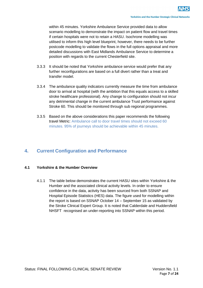within 45 minutes. Yorkshire Ambulance Service provided data to allow scenario modelling to demonstrate the impact on patient flow and travel times if certain hospitals were not to retain a HASU. Isochrone modelling was utilised to inform this high level blueprint, however, there needs to be further postcode modelling to validate the flows in the full options appraisal and more detailed discussions with East Midlands Ambulance Service to determine a position with regards to the current Chesterfield site.

- 3.3.3 It should be noted that Yorkshire ambulance service would prefer that any further reconfigurations are based on a full divert rather than a treat and transfer model.
- 3.3.4 The ambulance quality indicators currently measure the time from ambulance door to arrival at hospital (with the ambition that this equals access to a skilled stroke healthcare professional). Any change to configuration should not incur any detrimental change in the current ambulance Trust performance against Stroke 60. This should be monitored through sub regional programmes.
- 3.3.5 Based on the above considerations this paper recommends the following travel Metric: Ambulance call to door travel times should not exceed 60 minutes. 95% of journeys should be achievable within 45 minutes.

## **4. Current Configuration and Performance**

#### **4.1 Yorkshire & the Humber Overview**

4.1.1 The table below demonstrates the current HASU sites within Yorkshire & the Humber and the associated clinical activity levels. In order to ensure confidence in the data, activity has been sourced from both SSNAP and Hospital Episode Statistics (HES) data. The figure used for modelling within the report is based on SSNAP October 14 – September 15 as validated by the Stroke Clinical Expert Group. It is noted that Calderdale and Huddersfield NHSFT recognised an under-reporting into SSNAP within this period.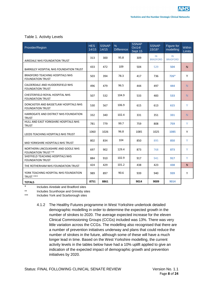#### Table 1. Activity Levels

| Provider/Region                                                   | <b>HES</b><br>14/15 | <b>SSNAP</b><br>14/15 | $\%$<br><b>Difference</b> | <b>SSNAP</b><br>Oct14/<br>Sept 15 | <b>SSNAP</b><br>15/16* | Figure for<br>modelling | <b>Within</b><br><b>Limits</b> |
|-------------------------------------------------------------------|---------------------|-----------------------|---------------------------|-----------------------------------|------------------------|-------------------------|--------------------------------|
| AIREDALE NHS FOUNDATION TRUST                                     | 313                 | 300                   | 95.8                      | 309                               | IN<br><b>BRADFORD</b>  | IN<br><b>BRADFORD</b>   |                                |
| BARNSLEY HOSPITAL NHS FOUNDATION TRUST                            | 433                 | 472                   | 109                       | 504                               | 529                    | 504                     | N.                             |
| <b>BRADFORD TEACHING HOSPITALS NHS</b><br><b>FOUNDATION TRUST</b> | 503                 | 394                   | 78.3                      | 417                               | 736                    | $726*$                  | Y                              |
| CALDERDALE AND HUDDERSFIELD NHS<br><b>FOUNDATION TRUST</b>        | 496                 | 479                   | 96.5                      | 444                               | 497                    | 444                     | N.                             |
| CHESTERFIELD ROYAL HOSPITAL NHS<br><b>FOUNDATION TRUST</b>        | 507                 | 532                   | 104.9                     | 533                               | 483                    | 533                     | N.                             |
| DONCASTER AND BASSETLAW HOSPITALS NHS<br><b>FOUNDATION TRUST</b>  | 530                 | 567                   | 106.9                     | 615                               | 613                    | 615                     | Y                              |
| HARROGATE AND DISTRICT NHS FOUNDATION<br><b>TRUST</b>             | 332                 | 340                   | 102.4                     | 331                               | 351                    | 331                     | N.                             |
| HULL AND EAST YORKSHIRE HOSPITALS NHS<br><b>TRUST</b>             | 781                 | 779                   | 99.7                      | 759                               | 808                    | 759                     | Y                              |
| LEEDS TEACHING HOSPITALS NHS TRUST                                | 1060                | 1026                  | 96.8                      | 1085                              | 1025                   | 1085                    | Y                              |
| MID YORKSHIRE HOSPITALS NHS TRUST                                 | 802                 | 834                   | 104                       | 850                               | 895                    | 850                     | Y                              |
| NORTHERN LINCOLNSHIRE AND GOOLE NHS<br><b>FOUNDATION TRUST **</b> | 697                 | 902                   | 129.4                     | 873                               | 768                    | 873                     | Y                              |
| SHEFFIELD TEACHING HOSPITALS NHS<br><b>FOUNDATION TRUST</b>       | 884                 | 910                   | 102.9                     | 917                               | 941                    | 917                     | Y                              |
| THE ROTHERHAM NHS FOUNDATION TRUST                                | 424                 | 429                   | 101.2                     | 438                               | 423                    | 438                     | N.                             |
| YORK TEACHING HOSPITAL NHS FOUNDATION<br>TRUST ***                | 989                 | 897                   | 90.6                      | 939                               | 940                    | 939                     | Y                              |
| <b>TOTALS</b>                                                     | 8751                | 8861                  |                           | 9014                              | 9009                   | 9014                    |                                |

Includes Airedale and Bradford sites

\*\* Includes Scunthorpe and Grimsby sites

\*\*\* Includes York and Scarborough sites

4.1.2 The Healthy Futures programme in West Yorkshire undertook detailed demographic modelling in order to determine the expected growth in the number of strokes to 2020. The average expected increase for the eleven Clinical Commissioning Groups (CCGs) included was 13%. There was very little variation across the CCGs. The modelling also recognised that there are a number of prevention initiatives underway and plans that could reduce the number of strokes in the future, although some of these will have a much longer lead in time. Based on the West Yorkshire modelling, the current activity levels in the tables below have had a 10% uplift applied to give an indication of the expected impact of demographic growth and prevention initiatives by 2020.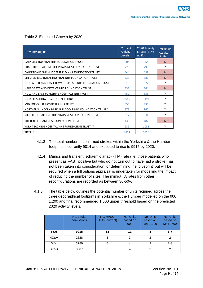#### Table 2. Expected Growth by 2020

| Provider/Region                                        | Current<br>Activity<br>Levels | 2020 Activity<br>Levels (10%<br>uplift) | Impact on<br>Activity<br>Limits |
|--------------------------------------------------------|-------------------------------|-----------------------------------------|---------------------------------|
| BARNSLEY HOSPITAL NHS FOUNDATION TRUST                 | 504                           | 554                                     | N                               |
| BRADFORD TEACHING HOSPITALS NHS FOUNDATION TRUST       | 726                           | 799                                     | Υ                               |
| CALDERDALE AND HUDDERSFIELD NHS FOUNDATION TRUST       | 444                           | 488                                     | N                               |
| CHESTERFIELD ROYAL HOSPITAL NHS FOUNDATION TRUST       | 533                           | 586                                     | N                               |
| DONCASTER AND BASSETLAW HOSPITALS NHS FOUNDATION TRUST | 615                           | 677                                     | Υ                               |
| HARROGATE AND DISTRICT NHS FOUNDATION TRUST            | 331                           | 364                                     | N                               |
| HULL AND EAST YORKSHIRE HOSPITALS NHS TRUST            | 759                           | 835                                     | Υ                               |
| LEEDS TEACHING HOSPITALS NHS TRUST                     | 1085                          | 1194                                    | Υ                               |
| MID YORKSHIRE HOSPITALS NHS TRUST                      | 850                           | 935                                     | Υ                               |
| NORTHERN LINCOLNSHIRE AND GOOLE NHS FOUNDATION TRUST * | 873                           | 960                                     | Υ                               |
| SHEFFIELD TEACHING HOSPITALS NHS FOUNDATION TRUST      | 917                           | 1009                                    | Υ                               |
| THE ROTHERHAM NHS FOUNDATION TRUST                     | 438                           | 482                                     | N                               |
| YORK TEACHING HOSPITAL NHS FOUNDATION TRUST **         | 939                           | 1033                                    | Υ                               |
| <b>TOTALS</b>                                          | 9014                          | 9915                                    |                                 |

- 4.1.3 The total number of confirmed strokes within the Yorkshire & the Humber footprint is currently 9014 and expected to rise to 9915 by 2020.
- 4.1.4 Mimics and transient ischaemic attack (TIA) rate (i.e. those patients who present as FAST positive but who do not turn out to have had a stroke) has not been taken into consideration for determining the 'blueprint' but will be required when a full options appraisal is undertaken for modelling the impact of reducing the number of sites. The mimic/TIA rates from other reconfigurations are recorded as between 30-50%.
- 4.1.5 The table below outlines the potential number of units required across the three geographical footprints in Yorkshire & the Humber modelled on the 900, 1,200 and final recommended 1,500 upper threshold based on the predicted 2020 activity levels.

|           | No. stroke<br>admissions | No. HASU<br>Units (current) | No. Units<br>based on<br>900 | No. Units<br>based on<br>Max 1200 | No. Units<br>based on<br><b>Max 1500</b> |
|-----------|--------------------------|-----------------------------|------------------------------|-----------------------------------|------------------------------------------|
| Y&H       | 9915                     | 13                          | 11                           | 8                                 | $6 - 7$                                  |
| HC&V      | 2828                     | 3                           | 3                            | $\overline{2}$                    | $\mathcal{P}$                            |
| <b>WY</b> | 3780                     | 5                           |                              | 3                                 | $2 - 3$                                  |
| SY&B      | 3307                     | 5                           |                              | 3                                 | C                                        |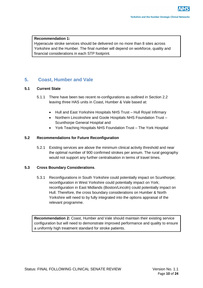#### **Recommendation 1:**

Hyperacute stroke services should be delivered on no more than 8 sites across Yorkshire and the Humber. The final number will depend on workforce, quality and financial considerations in each STP footprint.

## **5. Coast, Humber and Vale**

#### **5.1 Current State**

- 5.1.1 There have been two recent re-configurations as outlined in Section 2.2 leaving three HAS units in Coast, Humber & Vale based at:
	- Hull and East Yorkshire Hospitals NHS Trust Hull Royal Infirmary
	- Northern Lincolnshire and Goole Hospitals NHS Foundation Trust Scunthorpe General Hospital and
	- York Teaching Hospitals NHS Foundation Trust The York Hospital

#### **5.2 Recommendations for Future Reconfiguration**

5.2.1 Existing services are above the minimum clinical activity threshold and near the optimal number of 900 confirmed strokes per annum. The rural geography would not support any further centralisation in terms of travel times.

#### **5.3 Cross Boundary Considerations**.

5.3.1 Reconfigurations in South Yorkshire could potentially impact on Scunthorpe; reconfiguration in West Yorkshire could potentially impact on York; reconfiguration in East Midlands (Boston/Lincoln) could potentially impact on Hull. Therefore, the cross boundary considerations on Humber & North Yorkshire will need to by fully integrated into the options appraisal of the relevant programme.

**Recommendation 2:** Coast, Humber and Vale should maintain their existing service configuration but will need to demonstrate improved performance and quality to ensure a uniformly high treatment standard for stroke patients.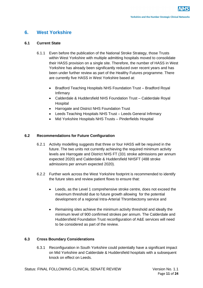## **6. West Yorkshire**

#### **6.1 Current State**

- 6.1.1 Even before the publication of the National Stroke Strategy, those Trusts within West Yorkshire with multiple admitting hospitals moved to consolidate their HASS provision on a single site. Therefore, the number of HASS in West Yorkshire has already been significantly reduced over recent years and has been under further review as part of the Healthy Futures programme. There are currently five HASS in West Yorkshire based at:
	- Bradford Teaching Hospitals NHS Foundation Trust Bradford Royal Infirmary
	- Calderdale & Huddersfield NHS Foundation Trust Calderdale Royal **Hospital**
	- Harrogate and District NHS Foundation Trust
	- Leeds Teaching Hospitals NHS Trust Leeds General Infirmary
	- Mid Yorkshire Hospitals NHS Trusts Pinderfields Hospital

#### **6.2 Recommendations for Future Configuration**

- 6.2.1 Activity modelling suggests that three or four HASS will be required in the future. The two units not currently achieving the required minimum activity levels are Harrogate and District NHS FT (331 stroke admissions per annum expected 2020) and Calderdale & Huddersfield NHSFT (488 stroke admissions per annum expected 2020).
- 6.2.2 Further work across the West Yorkshire footprint is recommended to identify the future sites and review patient flows to ensure that:
	- Leeds, as the Level 1 comprehensive stroke centre, does not exceed the maximum threshold due to future growth allowing for the potential development of a regional Intra-Arterial Thrombectomy service and
	- Remaining sites achieve the minimum activity threshold and ideally the minimum level of 900 confirmed strokes per annum. The Calderdale and Huddersfield Foundation Trust reconfiguration of A&E services will need to be considered as part of the review.

#### **6.3 Cross Boundary Considerations**

6.3.1 Reconfiguration in South Yorkshire could potentially have a significant impact on Mid Yorkshire and Calderdale & Huddersfield hospitals with a subsequent knock on effect on Leeds.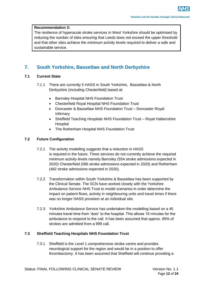#### **Recommendation 3:**

The resilience of hyperacute stroke services in West Yorkshire should be optimised by reducing the number of sites ensuring that Leeds does not exceed the upper threshold and that other sites achieve the minimum activity levels required to deliver a safe and sustainable service.

## **7. South Yorkshire, Bassetlaw and North Derbyshire**

#### **7.1 Current State**

- 7.1.1 There are currently 5 HASS in South Yorkshire, Bassetlaw & North Derbyshire (including Chesterfield) based at:
	- Barnsley Hospital NHS Foundation Trust
	- Chesterfield Royal Hospital NHS Foundation Trust
	- Doncaster & Bassetlaw NHS Foundation Trust Doncaster Royal Infirmary
	- Sheffield Teaching Hospitals NHS Foundation Trust Royal Hallamshire Hospital
	- The Rotherham Hospital NHS Foundation Trust

#### **7.2 Future Configuration**

- 7.2.1 The activity modelling suggests that a reduction in HASS is required in the future. Three services do not currently achieve the required minimum activity levels namely Barnsley (554 stroke admissions expected in 2020) Chesterfield (586 stroke admissions expected in 2020) and Rotherham (482 stroke admissions expected in 2020).
- 7.2.2 Transformation within South Yorkshire & Bassetlaw has been supported by the Clinical Senate. The SCN have worked closely with the Yorkshire Ambulance Service NHS Trust to model scenarios in order determine the impact on patient flows, activity in neighbouring units and travel times if there was no longer HASS provision at an individual site.
- 7.2.3 Yorkshire Ambulance Service has undertaken the modelling based on a 45 minutes travel time from 'door' to the hospital. This allows 15 minutes for the ambulance to respond to the call. It has been assumed that approx. 85% of strokes are admitted from a 999 call.

#### **7.3 Sheffield Teaching Hospitals NHS Foundation Trust**

7.3.1 Sheffield is the Level 1 comprehensive stroke centre and provides neurological support for the region and would be in a position to offer thrombectomy. It has been assumed that Sheffield will continue providing a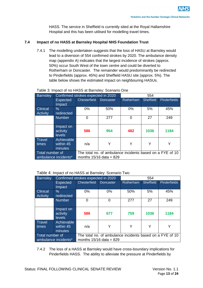HASS. The service in Sheffield is currently sited at the Royal Hallamshire Hospital and this has been utilised for modelling travel times.

#### **7.4 Impact of no HASS at Barnsley Hospital NHS Foundation Trust**

7.4.1 The modelling undertaken suggests that the loss of HASU at Barnsley would lead to a diversion of 554 confirmed strokes by 2020. The ambulance density map (appendix A) indicates that the largest incidence of strokes (approx. 50%) occur South West of the town centre and could be diverted to Rotherham or Doncaster. The remainder would predominantly be redirected to Pinderfields (approx. 45%) and Sheffield HASU site (approx. 5%). The table below shows the estimated impact on neighbouring HASUs.

| <b>Barnsley</b>                         | Confirmed strokes expected in 2020 |                                                                                        |           | 554       |                  |                     |
|-----------------------------------------|------------------------------------|----------------------------------------------------------------------------------------|-----------|-----------|------------------|---------------------|
|                                         | <b>Expected</b><br>Impact          | Chesterfield                                                                           | Doncaster | Rotherham | <b>Sheffield</b> | <b>Pinderfields</b> |
| <b>Clinical</b><br><b>Activity</b>      | $\%$<br>redirected                 | 0%                                                                                     | 50%       | 0%        | 5%               | 45%                 |
|                                         | <b>Number</b>                      | $\Omega$                                                                               | 277       | ი         | 27               | 249                 |
|                                         | Impact on<br>activity<br>levels    | 586                                                                                    | 954       | 482       | 1036             | 1184                |
| <b>Travel</b><br>times                  | Achievable<br>within 45<br>minutes | n/a                                                                                    | Y         | Υ         | Y                |                     |
| Total number of<br>ambulance incidents* |                                    | The total no. of ambulance incidents based on a FYE of 10<br>months $15/16$ data = 829 |           |           |                  |                     |

#### Table 3: Impact of no HASS at Barnsley: Scenario One

#### Table 4: Impact of no HASS at Barnsley: Scenario Two

| <b>Barnsley</b>                         |                                        | Confirmed strokes expected in 2020                                                     |                  | 554       |                  |                     |
|-----------------------------------------|----------------------------------------|----------------------------------------------------------------------------------------|------------------|-----------|------------------|---------------------|
|                                         | <b>Expected</b><br>Impact              | Chesterfield                                                                           | <b>Doncaster</b> | Rotherham | <b>Sheffield</b> | <b>Pinderfields</b> |
| <b>Clinical</b><br><b>Activity</b>      | $\frac{0}{6}$<br>redirected            | $0\%$                                                                                  | $0\%$            | 50%       | 5%               | 45%                 |
|                                         | <b>Number</b>                          | ∩                                                                                      | 0                | 277       | 27               | 249                 |
|                                         | Impact on<br>activity<br><b>levels</b> | 586                                                                                    | 677              | 759       | 1036             | 1184                |
| <b>Travel</b><br>times                  | Achievable<br>within 45<br>minutes     | n/a                                                                                    | Y                | Υ         | Y                | Υ                   |
| Total number of<br>ambulance incidents* |                                        | The total no. of ambulance incidents based on a FYE of 10<br>months $15/16$ data = 829 |                  |           |                  |                     |

7.4.2 The loss of a HASS at Barnsley would have cross-boundary implications for Pinderfields HASS. The ability to alleviate the pressure at Pinderfields by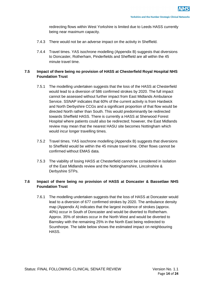redirecting flows within West Yorkshire is limited due to Leeds HASS currently being near maximum capacity.

- 7.4.3 There would not be an adverse impact on the activity in Sheffield.
- 7.4.4 Travel times. YAS isochrone modelling (Appendix B) suggests that diversions to Doncaster, Rotherham, Pinderfields and Sheffield are all within the 45 minute travel time.

#### **7.5 Impact of there being no provision of HASS at Chesterfield Royal Hospital NHS Foundation Trust**

- 7.5.1 The modelling undertaken suggests that the loss of the HASS at Chesterfield would lead to a diversion of 586 confirmed strokes by 2020. The full impact cannot be assessed without further impact from East Midlands Ambulance Service. SSNAP indicates that 60% of the current activity is from Hardwick and North Derbyshire CCGs and a significant proportion of that flow would be directed North rather than South. This would predominantly be redirected towards Sheffield HASS. There is currently a HASS at Sherwood Forest Hospital where patients could also be redirected; however, the East Midlands review may mean that the nearest HASU site becomes Nottingham which would incur longer travelling times.
- 7.5.2 Travel times. YAS isochrone modelling (Appendix B) suggests that diversions to Sheffield would be within the 45 minute travel time. Other flows cannot be confirmed without EMAS data.
- 7.5.3 The viability of losing HASS at Chesterfield cannot be considered in isolation of the East Midlands review and the Nottinghamshire, Lincolnshire & Derbyshire STPs.

#### **7.6 Impact of there being no provision of HASS at Doncaster & Bassetlaw NHS Foundation Trust**

7.6.1 The modelling undertaken suggests that the loss of HASS at Doncaster would lead to a diversion of 677 confirmed strokes by 2020. The ambulance density map (Appendix A) indicates that the largest incidence of strokes (approx. 40%) occur in South of Doncaster and would be diverted to Rotherham. Approx. 35% of strokes occur in the North West and would be diverted to Barnsley with the remaining 25% in the North East being redirected to Scunthorpe. The table below shows the estimated impact on neighbouring HASS.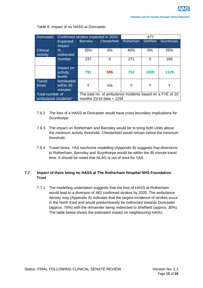| <b>Doncaster</b>       |                                        | Confirmed strokes expected in 2020 |                                                           | 677       |                  |            |  |
|------------------------|----------------------------------------|------------------------------------|-----------------------------------------------------------|-----------|------------------|------------|--|
|                        | <b>Expected</b>                        | <b>Barnsley</b>                    | <b>Chesterfield</b>                                       | Rotherham | <b>Sheffield</b> | Scunthorpe |  |
|                        | Impact                                 |                                    |                                                           |           |                  |            |  |
| <b>Clinical</b>        | $\frac{0}{6}$                          | 35%                                | 0%                                                        | 40%       | $0\%$            | 25%        |  |
| <b>Activity</b>        | redirected                             |                                    |                                                           |           |                  |            |  |
|                        | <b>Number</b>                          | 237                                | 0                                                         | 271       | 0                | 169        |  |
|                        |                                        |                                    |                                                           |           |                  |            |  |
|                        | Impact on<br>activity<br><b>levels</b> | 791                                | 586                                                       | 753       | 1009             | 1129       |  |
| <b>Travel</b><br>times | Achievable<br>within 45<br>minutes     | Y                                  | n/a                                                       | Υ         | Y                |            |  |
| Total number of        |                                        |                                    | The total no, of ambulance incidents based on a FYE of 10 |           |                  |            |  |
| ambulance incidents*   |                                        |                                    | months $15/16$ data = 1294                                |           |                  |            |  |

#### Table 6: Impact of no HASS at Doncaster

- 7.6.2 The loss of a HASS at Doncaster would have cross boundary implications for Scunthorpe.
- 7.6.3 The impact on Rotherham and Barnsley would be to bring both Units above the minimum activity threshold. Chesterfield would remain below the minimum threshold.
- 7.6.4 Travel times. YAS isochrone modelling (Appendix B) suggests that diversions to Rotherham, Barnsley and Scunthorpe would be within the 45 minute travel time. It should be noted that NLAG is out of area for YAS.

#### **7.7 Impact of there being no HASS at The Rotherham Hospital NHS Foundation Trust**

7.7.1 The modelling undertaken suggests that the loss of HASS at Rotherham would lead to a diversion of 482 confirmed strokes by 2020. The ambulance density may (Appendix A) indicates that the largest incidence of strokes occur in the North East and would predominantly be redirected towards Doncaster (approx. 70%) with the remainder being redirected to Sheffield (approx. 30%). The table below shows the estimated impact on neighbouring HASU.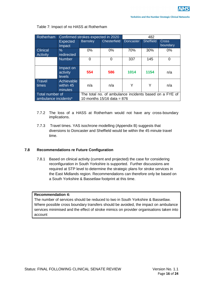| Rotherham                               |                                        | Confirmed strokes expected in 2020                                                     |              |                  | 482              |                   |  |
|-----------------------------------------|----------------------------------------|----------------------------------------------------------------------------------------|--------------|------------------|------------------|-------------------|--|
|                                         | <b>Expected</b><br>Impact              | <b>Barnsley</b>                                                                        | Chesterfield | <b>Doncaster</b> | <b>Sheffield</b> | Cross<br>boundary |  |
| <b>Clinical</b><br><b>Activity</b>      | $\frac{0}{0}$<br>redirected            | $0\%$                                                                                  | 0%           | 70%              | 30%              | 0%                |  |
|                                         | <b>Number</b>                          | 0                                                                                      | 0            | 337              | 145              |                   |  |
|                                         | Impact on<br>activity<br><b>levels</b> | 554                                                                                    | 586          | 1014             | 1154             | n/a               |  |
| Travel<br>times                         | Achievable<br>within 45<br>minutes     | n/a                                                                                    | n/a          | Y                | Y                | n/a               |  |
| Total number of<br>ambulance incidents* |                                        | The total no. of ambulance incidents based on a FYE of<br>10 months $15/16$ data = 876 |              |                  |                  |                   |  |

#### Table 7: Impact of no HASS at Rotherham

- 7.7.2 The loss of a HASS at Rotherham would not have any cross-boundary implications.
- 7.7.3 Travel times. YAS isochrone modelling (Appendix B) suggests that diversions to Doncaster and Sheffield would be within the 45 minute travel time.

#### **7.8 Recommendations re Future Configuration**

7.8.1 Based on clinical activity (current and projected) the case for considering reconfiguration in South Yorkshire is supported. Further discussions are required at STP level to determine the strategic plans for stroke services in the East Midlands region. Recommendations can therefore only be based on a South Yorkshire & Bassetlaw footprint at this time.

#### **Recommendation 4:**

The number of services should be reduced to two in South Yorkshire & Bassetlaw. Where possible cross boundary transfers should be avoided, the impact on ambulance services minimised and the effect of stroke mimics on provider organisations taken into account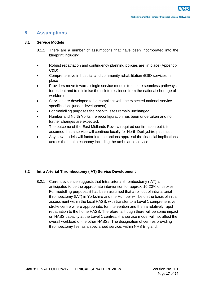## **8. Assumptions**

#### **8.1 Service Models**

- 8.1.1 There are a number of assumptions that have been incorporated into the blueprint including:
- Robust repatriation and contingency planning policies are in place (Appendix C&D)
- Comprehensive in hospital and community rehabilitation /ESD services in place
- Providers move towards single service models to ensure seamless pathways for patient and to minimise the risk to resilience from the national shortage of workforce
- Services are developed to be compliant with the expected national service specification (under development)
- For modelling purposes the hospital sites remain unchanged.
- Humber and North Yorkshire reconfiguration has been undertaken and no further changes are expected.
- The outcome of the East Midlands Review required confirmation but it is assumed that a service will continue locally for North Derbyshire patients..
- Any new models will factor into the options appraisal the financial implications across the health economy including the ambulance service

#### **8.2 Intra Arterial Thrombectomy (IAT) Service Development**

8.2.1 Current evidence suggests that Intra-arterial thrombectomy (IAT) is anticipated to be the appropriate intervention for approx. 10-20% of strokes. For modelling purposes it has been assumed that a roll out of intra-arterial thrombectomy (IAT) in Yorkshire and the Humber will be on the basis of initial assessment within the local HASS, with transfer to a Level 1 comprehensive stroke centre where appropriate, for intervention and then a relatively rapid repatriation to the home HASS. Therefore, although there will be some impact on HASS capacity at the Level 1 centres, this service model will not affect the overall workload of the other HASSs. The designation of centres providing thrombectomy lies, as a specialised service, within NHS England.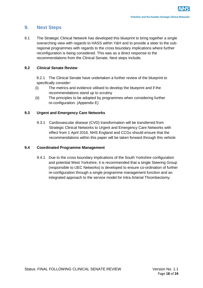### **9. Next Steps**

9.1 The Strategic Clinical Network has developed this blueprint to bring together a single overarching view with regards to HASS within Y&H and to provide a steer to the subregional programmes with regards to the cross boundary implications where further reconfiguration is being considered. This was as a direct response to the recommendations from the Clinical Senate. Next steps include;

#### **9.2 Clinical Senate Review**

9.2.1 The Clinical Senate have undertaken a further review of the blueprint to specifically consider:

- (i) The metrics and evidence utilised to develop the blueprint and if the recommendations stand up to scrutiny
- (ii) The principles to be adopted by programmes when considering further re-configuration. (Appendix E)

#### **9.3 Urgent and Emergency Care Networks**

9.3.1 Cardiovascular disease (CVD) transformation will be transferred from Strategic Clinical Networks to Urgent and Emergency Care Networks with effect from 1 April 2016. NHS England and CCGs should ensure that the recommendations within this paper will be taken forward through this vehicle

#### **9.4 Coordinated Programme Management**

9.4.1 Due to the cross boundary implications of the South Yorkshire configuration and potential West Yorkshire, it is recommended that a single Steering Group (responsible to UEC Networks) is developed to ensure co-ordination of further re-configuration through a single programme management function and an integrated approach to the service model for Intra Arterial Thrombectomy.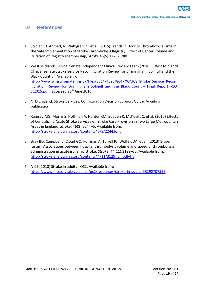### **10 References**

- 1. Strbian, D. Ahmed, N. Wahlgren, N. et al. (2015) Trends in Door to Thrombolysis Time in the Safe Implementation of Stroke Thrombolysis Registry: Effect of Center Volume and Duration of Registry Membership, *Stroke* 46(5) 1275-1280
- 2. West Midlands Clinical Senate Independent Clinical Review Team (2016) . West Midlands Clinical Senate Stroke Service Reconfiguration Review for Birmingham, Solihull and the Black Country. Available from: http://www.wmscnsenate.nhs.uk/files/8814/4525/8647/WMCS Stroke Service Reconf iguration Review for Birmingham Solihull and the Black Country Final Report v1O  $ct2015.pdf$  (accessed  $21<sup>st</sup>$  June 2016)
- 3. NHS England. Stroke Services: Configuration Decision Support Guide. Awaiting publication
- 4. Ramsay AIG, Morris S, Hoffman A, Hunter RM, Boaden R, McKevitt C, et al. (2015) Effects of Centralizing Acute Stroke Services on Stroke Care Provision in Two Large Metropolitan Areas in England. *Stroke*. 46(8):2244–5. Available from: http://stroke.ahajournals.org/content/46/8/2244.long
- 5. Bray BD, Campbell J, Cloud GC, Hoffman A, Tyrrell PJ, Wolfe CDA, et al. (2013) Bigger, faster? Associations between hospital thrombolysis volume and speed of thrombolysis administration in acute ischemic stroke. *Stroke*. 44(11):3129–35. Available from: <http://stroke.ahajournals.org/content/44/11/3129.full.pdf+ht>
- 6. NICE (2010) Stroke in adults QS2. Available from: <https://www.nice.org.uk/guidance/qs2/resources/stroke-in-adults-58292707525>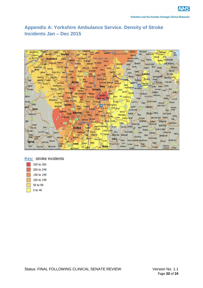## **Appendix A: Yorkshire Ambulance Service. Density of Stroke Incidents Jan – Dec 2015**



#### **Key:** stroke incidents

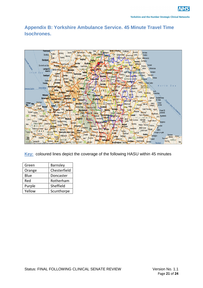## **Appendix B: Yorkshire Ambulance Service. 45 Minute Travel Time Isochrones.**



**Key:** coloured lines depict the coverage of the following HASU within 45 minutes

| Green  | Barnsley     |
|--------|--------------|
| Orange | Chesterfield |
| Blue   | Doncaster    |
| Red    | Rotherham    |
| Purple | Sheffield    |
| Yellow | Scunthorpe   |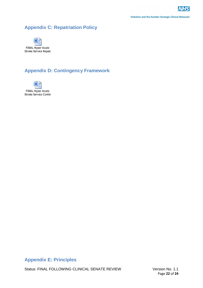**Yorkshire and the Humber Strategic Clinical Networks** 

## **Appendix C: Repatriation Policy**



## **Appendix D: Contingency Framework**



FINAL Hyper Acute Stroke Service Contin

## **Appendix E: Principles**

Status: FINAL FOLLOWING CLINICAL SENATE REVIEW Version No. 1.1